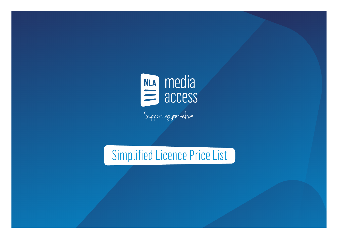

Supporting journalism

# Simplified Licence Price List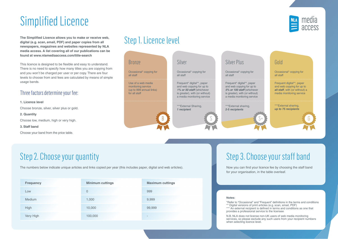## Simplified Licence

**The Simplified Licence allows you to make or receive web, digital (e.g. scan, email, PDF) and paper copies from all newspapers, magazines and websites represented by NLA media access. A list covering all of our publications can be found at www.nlamediaaccess.com/title-search**

This licence is designed to be flexible and easy to understand. There is no need to specify how many titles you are copying from and you won't be charged per user or per copy. There are four levels to choose from and fees are calculated by means of simple usage bands.

### Three factors determine your fee:

### **1. Licence level**

Choose bronze, silver, silver plus or gold.

#### **2. Quantity**

Choose low, medium, high or very high.

#### **3. Staff band**

Choose your band from the price table.

### Step 1. Licence level



## Step 2. Choose your quantity

The numbers below indicate unique articles and links copied per year (this includes paper, digital and web articles).

| <b>Frequency</b> | <b>Minimum cuttings</b> | <b>Maximum cuttings</b>        |
|------------------|-------------------------|--------------------------------|
| Low              | $\mathbf{0}$            | 999                            |
| Medium           | 1,000                   | 9,999                          |
| <b>High</b>      | 10,000                  | 99,999                         |
| Very High        | 100,000                 | $\qquad \qquad =\qquad \qquad$ |

## Step 3. Choose your staff band

Now you can find your licence fee by choosing the staff band for your organisation, in the table overleaf.

#### **Notes:**

\*Refer to "Occasional" and "Frequent" definitions in the terms and conditions \*\* Digital versions of print articles (e.g. scan, email, PDF)

\*\*\* An external recipient is defined in terms and conditions as one that provides a professional service to the licensee

N.B. NLA does not license non-UK users of web media monitoring services, so please exclude any such users from your recipient numbers when selecting licence level.